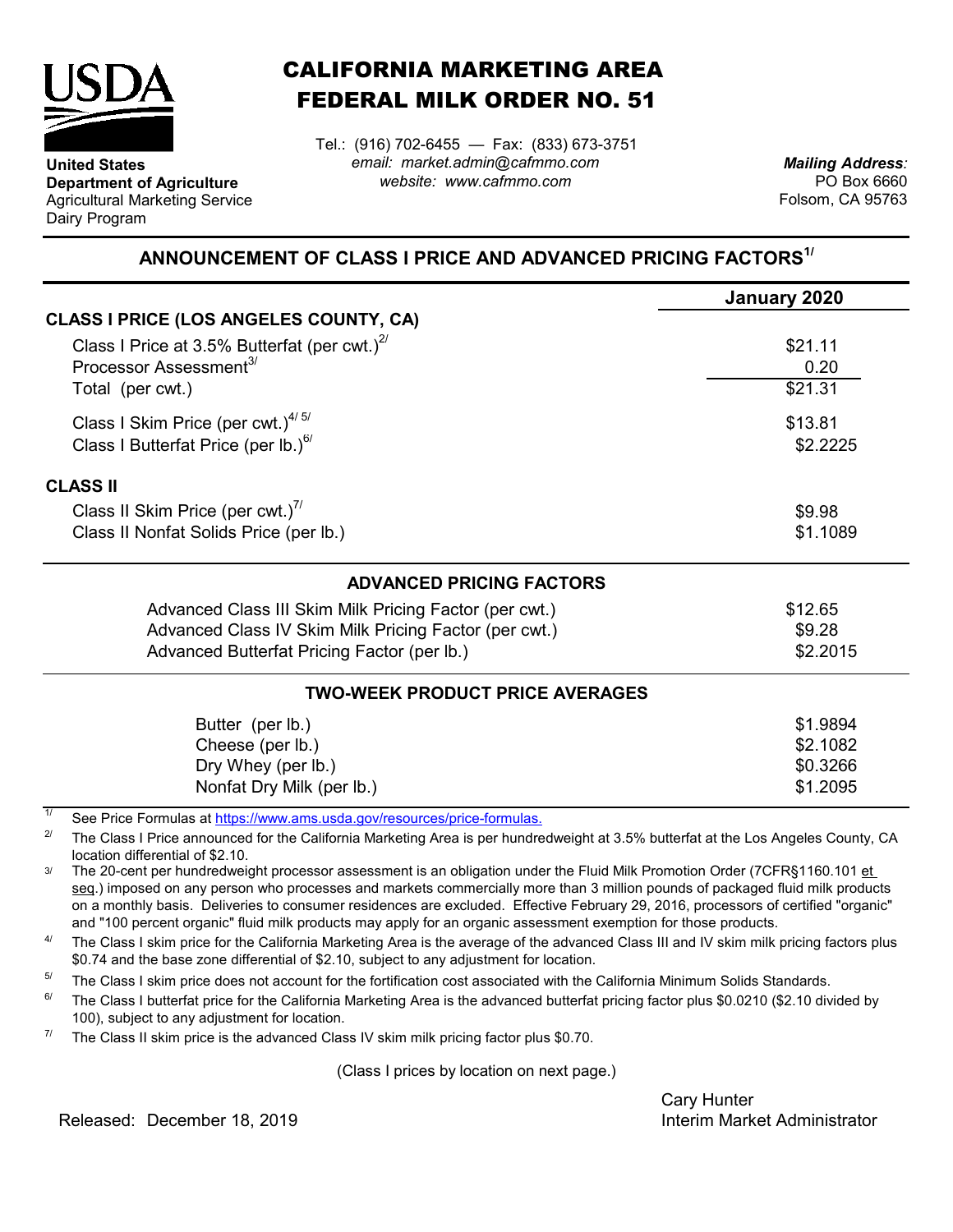

**United States**

Dairy Program

**Department of Agriculture** Agricultural Marketing Service

## CALIFORNIA MARKETING AREA FEDERAL MILK ORDER NO. 51

*email: market.admin@cafmmo.com website: www.cafmmo.com* Tel.: (916) 702-6455 — Fax: (833) 673-3751

*Mailing Address:* PO Box 6660 Folsom, CA 95763

## **ANNOUNCEMENT OF CLASS I PRICE AND ADVANCED PRICING FACTORS1/**

|                                                                               | January 2020 |  |  |
|-------------------------------------------------------------------------------|--------------|--|--|
| CLASS I PRICE (LOS ANGELES COUNTY, CA)                                        |              |  |  |
| Class I Price at 3.5% Butterfat (per cwt.) $^{2/}$                            | \$21.11      |  |  |
| Processor Assessment <sup>3/</sup>                                            | 0.20         |  |  |
| Total (per cwt.)                                                              | \$21.31      |  |  |
| Class I Skim Price (per cwt.) $4/5/$                                          | \$13.81      |  |  |
| Class I Butterfat Price (per lb.) <sup>6/</sup>                               | \$2.2225     |  |  |
| <b>CLASS II</b>                                                               |              |  |  |
| Class II Skim Price (per cwt.) <sup>7/</sup>                                  | \$9.98       |  |  |
| Class II Nonfat Solids Price (per lb.)                                        | \$1.1089     |  |  |
| <b>ADVANCED PRICING FACTORS</b>                                               |              |  |  |
| Advanced Class III Skim Milk Pricing Factor (per cwt.)                        | \$12.65      |  |  |
| Advanced Class IV Skim Milk Pricing Factor (per cwt.)                         | \$9.28       |  |  |
| Advanced Butterfat Pricing Factor (per lb.)                                   | \$2.2015     |  |  |
| <b>TWO-WEEK PRODUCT PRICE AVERAGES</b>                                        |              |  |  |
| Butter (per lb.)                                                              | \$1.9894     |  |  |
| Cheese (per lb.)                                                              | \$2.1082     |  |  |
| Dry Whey (per lb.)                                                            | \$0.3266     |  |  |
| Nonfat Dry Milk (per lb.)                                                     | \$1.2095     |  |  |
| 1/<br>See Dries Fermules of https://www.eme.uado.gov/researcee/prise fermules |              |  |  |

[See Price Formulas at](https://www.ams.usda.gov/resources/price-formulas) https://www.ams.usda.gov/resources/price-formulas.

2/ The Class I Price announced for the California Marketing Area is per hundredweight at 3.5% butterfat at the Los Angeles County, CA location differential of \$2.10.

3/ The 20-cent per hundredweight processor assessment is an obligation under the Fluid Milk Promotion Order (7CFR§1160.101 et seq.) imposed on any person who processes and markets commercially more than 3 million pounds of packaged fluid milk products on a monthly basis. Deliveries to consumer residences are excluded. Effective February 29, 2016, processors of certified "organic" and "100 percent organic" fluid milk products may apply for an organic assessment exemption for those products.

4/ The Class I skim price for the California Marketing Area is the average of the advanced Class III and IV skim milk pricing factors plus \$0.74 and the base zone differential of \$2.10, subject to any adjustment for location.

5/ The Class I skim price does not account for the fortification cost associated with the California Minimum Solids Standards.

6/ The Class I butterfat price for the California Marketing Area is the advanced butterfat pricing factor plus \$0.0210 (\$2.10 divided by 100), subject to any adjustment for location.

7/ The Class II skim price is the advanced Class IV skim milk pricing factor plus \$0.70.

(Class I prices by location on next page.)

Cary Hunter

Released: Interim Market Administrator December 18, 2019